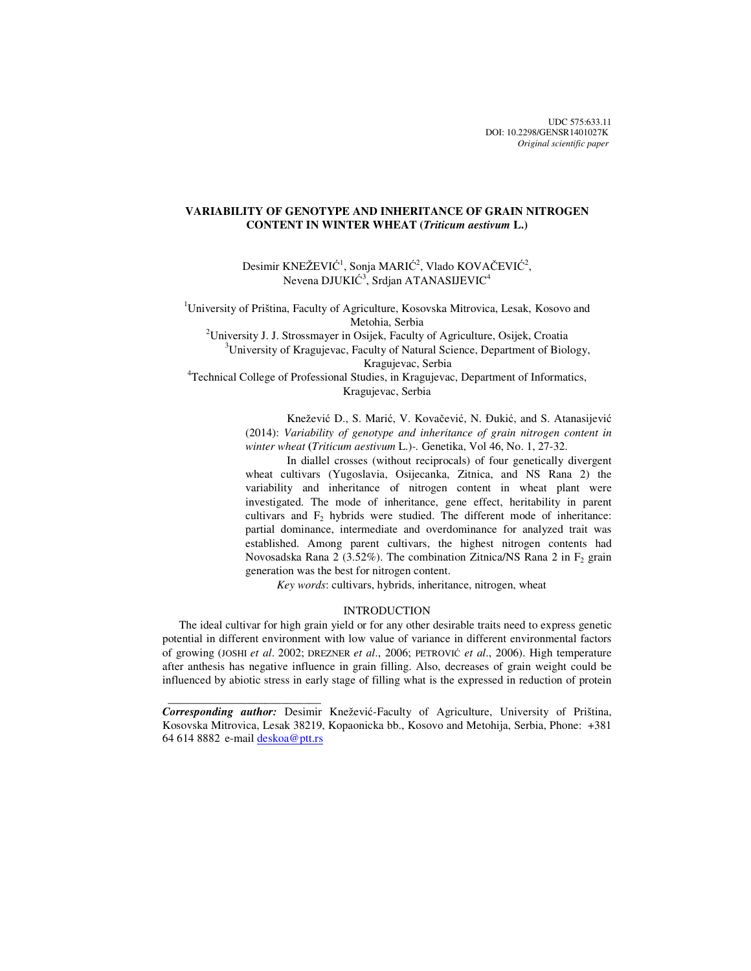UDC 575:633.11 DOI: 10.2298/GENSR1401027K *Original scientific paper*

# **VARIABILITY OF GENOTYPE AND INHERITANCE OF GRAIN NITROGEN CONTENT IN WINTER WHEAT (***Triticum aestivum* **L.)**

Desimir KNEŽEVIĆ<sup>1</sup>, Sonja MARIĆ<sup>2</sup>, Vlado KOVAČEVIĆ<sup>2</sup>, Nevena DJUKIĆ $^3$ , Srdjan ATANASIJEVIC $^4$ 

<sup>1</sup>University of Priština, Faculty of Agriculture, Kosovska Mitrovica, Lesak, Kosovo and Metohia, Serbia

<sup>2</sup>University J. J. Strossmayer in Osijek, Faculty of Agriculture, Osijek, Croatia  $3$ University of Kragujevac, Faculty of Natural Science, Department of Biology,

Kragujevac, Serbia

4 Technical College of Professional Studies, in Kragujevac, Department of Informatics, Kragujevac, Serbia

> Knežević D., S. Marić, V. Kovačević, N. Đukić, and S. Atanasijević (2014): *Variability of genotype and inheritance of grain nitrogen content in winter wheat* **(***Triticum aestivum* L.)*-.* Genetika, Vol 46, No. 1, 27-32.

> In diallel crosses (without reciprocals) of four genetically divergent wheat cultivars (Yugoslavia, Osijecanka, Zitnica, and NS Rana 2) the variability and inheritance of nitrogen content in wheat plant were investigated. The mode of inheritance, gene effect, heritability in parent cultivars and  $F<sub>2</sub>$  hybrids were studied. The different mode of inheritance: partial dominance, intermediate and overdominance for analyzed trait was established. Among parent cultivars, the highest nitrogen contents had Novosadska Rana 2 (3.52%). The combination Zitnica/NS Rana 2 in  $F<sub>2</sub>$  grain generation was the best for nitrogen content.

 *Key words*: cultivars, hybrids, inheritance, nitrogen, wheat

### INTRODUCTION

The ideal cultivar for high grain yield or for any other desirable traits need to express genetic potential in different environment with low value of variance in different environmental factors of growing (JOSHI *et al*. 2002; DREZNER *et al*., 2006; PETROVIĆ *et al*., 2006). High temperature after anthesis has negative influence in grain filling. Also, decreases of grain weight could be influenced by abiotic stress in early stage of filling what is the expressed in reduction of protein

 $\frac{1}{2}$  , and the set of the set of the set of the set of the set of the set of the set of the set of the set of the set of the set of the set of the set of the set of the set of the set of the set of the set of the set

*Corresponding author:* Desimir Knežević-Faculty of Agriculture, University of Priština, Kosovska Mitrovica, Lesak 38219, Kopaonicka bb., Kosovo and Metohija, Serbia, Phone: +381 64 614 8882 e-mail deskoa@ptt.rs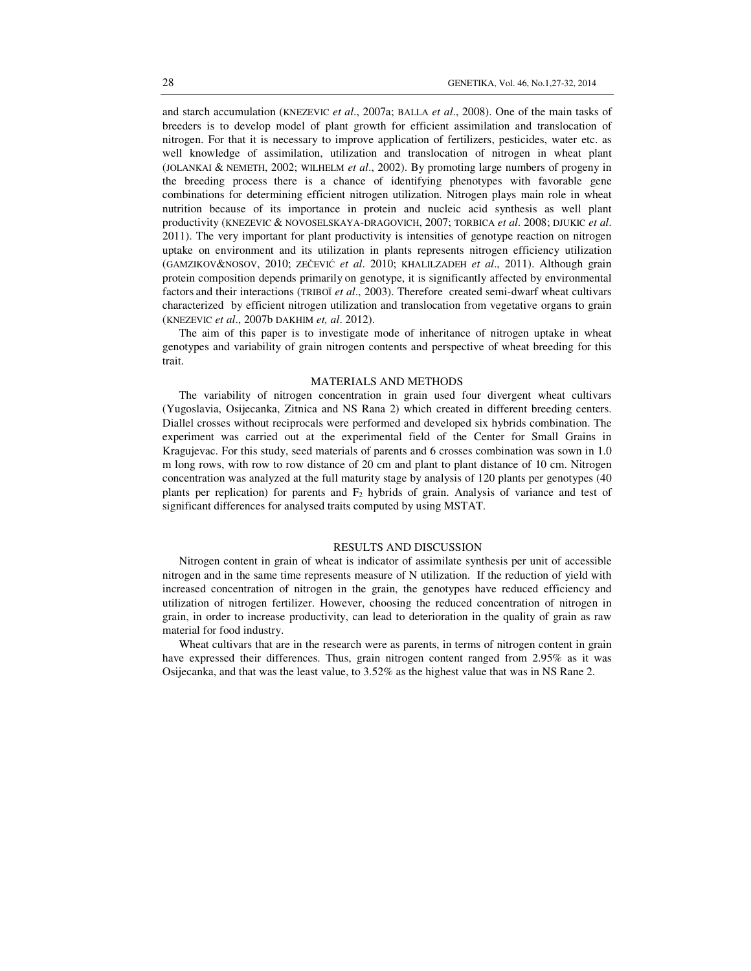and starch accumulation (KNEZEVIC *et al*., 2007a; BALLA *et al*., 2008). One of the main tasks of breeders is to develop model of plant growth for efficient assimilation and translocation of nitrogen. For that it is necessary to improve application of fertilizers, pesticides, water etc. as well knowledge of assimilation, utilization and translocation of nitrogen in wheat plant (JOLANKAI & NEMETH, 2002; WILHELM *et al*., 2002). By promoting large numbers of progeny in the breeding process there is a chance of identifying phenotypes with favorable gene combinations for determining efficient nitrogen utilization. Nitrogen plays main role in wheat nutrition because of its importance in protein and nucleic acid synthesis as well plant productivity (KNEZEVIC & NOVOSELSKAYA-DRAGOVICH, 2007; TORBICA *et al*. 2008; DJUKIC *et al*. 2011). The very important for plant productivity is intensities of genotype reaction on nitrogen uptake on environment and its utilization in plants represents nitrogen efficiency utilization (GAMZIKOV&NOSOV, 2010; ZEČEVIĆ *et al*. 2010; KHALILZADEH *et al*., 2011). Although grain protein composition depends primarily on genotype, it is significantly affected by environmental factors and their interactions (TRIBOÏ *et al*., 2003). Therefore created semi-dwarf wheat cultivars characterized by efficient nitrogen utilization and translocation from vegetative organs to grain (KNEZEVIC *et al*., 2007b DAKHIM *et, al*. 2012).

The aim of this paper is to investigate mode of inheritance of nitrogen uptake in wheat genotypes and variability of grain nitrogen contents and perspective of wheat breeding for this trait.

#### MATERIALS AND METHODS

The variability of nitrogen concentration in grain used four divergent wheat cultivars (Yugoslavia, Osijecanka, Zitnica and NS Rana 2) which created in different breeding centers. Diallel crosses without reciprocals were performed and developed six hybrids combination. The experiment was carried out at the experimental field of the Center for Small Grains in Kragujevac. For this study, seed materials of parents and 6 crosses combination was sown in 1.0 m long rows, with row to row distance of 20 cm and plant to plant distance of 10 cm. Nitrogen concentration was analyzed at the full maturity stage by analysis of 120 plants per genotypes (40 plants per replication) for parents and  $F_2$  hybrids of grain. Analysis of variance and test of significant differences for analysed traits computed by using MSTAT.

### RESULTS AND DISCUSSION

Nitrogen content in grain of wheat is indicator of assimilate synthesis per unit of accessible nitrogen and in the same time represents measure of N utilization. If the reduction of yield with increased concentration of nitrogen in the grain, the genotypes have reduced efficiency and utilization of nitrogen fertilizer. However, choosing the reduced concentration of nitrogen in grain, in order to increase productivity, can lead to deterioration in the quality of grain as raw material for food industry.

Wheat cultivars that are in the research were as parents, in terms of nitrogen content in grain have expressed their differences. Thus, grain nitrogen content ranged from 2.95% as it was Osijecanka, and that was the least value, to 3.52% as the highest value that was in NS Rane 2.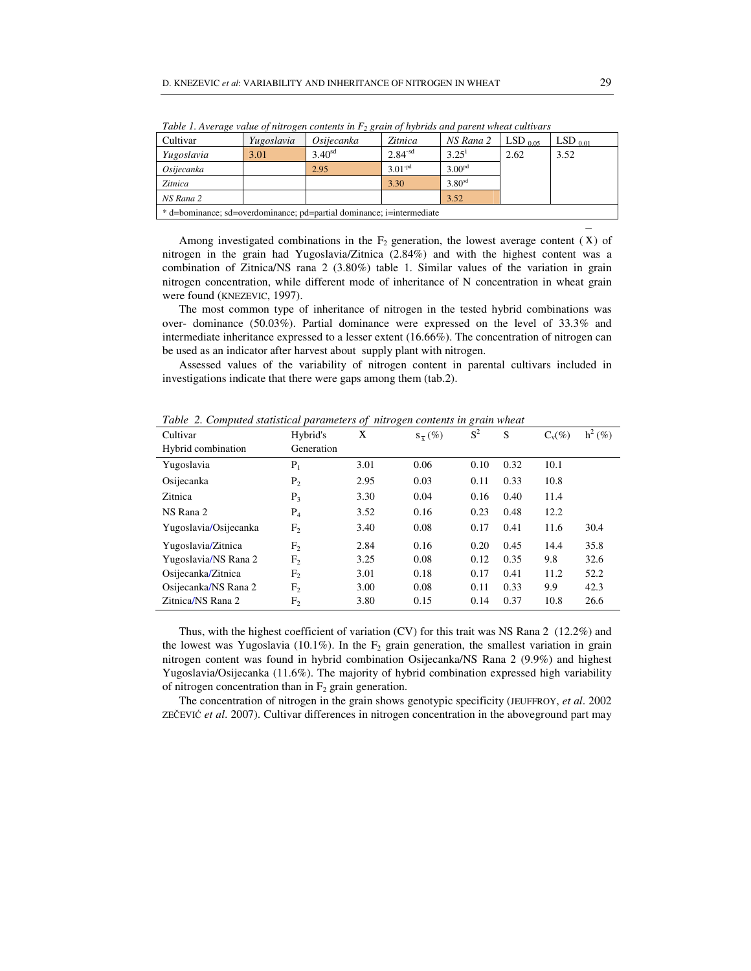| Two restricting to the equipment connection in Fig. States of the announcement contribution |            |                    |             |                    |              |              |  |  |  |  |
|---------------------------------------------------------------------------------------------|------------|--------------------|-------------|--------------------|--------------|--------------|--|--|--|--|
| Cultivar                                                                                    | Yugoslavia | Osijecanka         | Zitnica     | NS Rana 2          | $LSD_{0.05}$ | $LSD_{0.01}$ |  |  |  |  |
| Yugoslavia                                                                                  | 3.01       | 3.40 <sup>sd</sup> | $2.84 - sd$ | 3.25 <sup>1</sup>  | 2.62         | 3.52         |  |  |  |  |
| Osijecanka                                                                                  |            | 2.95               | $3.01 - pd$ | 3.00 <sup>pd</sup> |              |              |  |  |  |  |
| Zitnica                                                                                     |            |                    | 3.30        | 3.80 <sup>sd</sup> |              |              |  |  |  |  |
| NS Rana 2                                                                                   |            |                    |             | 3.52               |              |              |  |  |  |  |
| * d=bominance; sd=overdominance; pd=partial dominance; i=intermediate                       |            |                    |             |                    |              |              |  |  |  |  |
|                                                                                             |            |                    |             |                    |              |              |  |  |  |  |

*Table 1. Average value of nitrogen contents in F<sup>2</sup> grain of hybrids and parent wheat cultivars* 

Among investigated combinations in the  $F_2$  generation, the lowest average content (X) of nitrogen in the grain had Yugoslavia/Zitnica (2.84%) and with the highest content was a combination of Zitnica/NS rana 2 (3.80%) table 1. Similar values of the variation in grain nitrogen concentration, while different mode of inheritance of N concentration in wheat grain were found (KNEZEVIC, 1997).

The most common type of inheritance of nitrogen in the tested hybrid combinations was over- dominance (50.03%). Partial dominance were expressed on the level of 33.3% and intermediate inheritance expressed to a lesser extent (16.66%). The concentration of nitrogen can be used as an indicator after harvest about supply plant with nitrogen.

Assessed values of the variability of nitrogen content in parental cultivars included in investigations indicate that there were gaps among them (tab.2).

| таже - 2. Сотранса знатыесы ратаниенты организден сонисты тек түнеси |                |      |                        |       |      |           |           |  |  |  |  |
|----------------------------------------------------------------------|----------------|------|------------------------|-------|------|-----------|-----------|--|--|--|--|
| Cultivar                                                             | Hybrid's       | X    | $S_{\overline{v}}(\%)$ | $S^2$ | S    | $C_v(\%)$ | $h^2$ (%) |  |  |  |  |
| Hybrid combination                                                   | Generation     |      |                        |       |      |           |           |  |  |  |  |
| Yugoslavia                                                           | $P_1$          | 3.01 | 0.06                   | 0.10  | 0.32 | 10.1      |           |  |  |  |  |
| Osijecanka                                                           | $P_2$          | 2.95 | 0.03                   | 0.11  | 0.33 | 10.8      |           |  |  |  |  |
| Zitnica                                                              | $P_3$          | 3.30 | 0.04                   | 0.16  | 0.40 | 11.4      |           |  |  |  |  |
| NS Rana 2                                                            | $P_4$          | 3.52 | 0.16                   | 0.23  | 0.48 | 12.2      |           |  |  |  |  |
| Yugoslavia/Osijecanka                                                | F <sub>2</sub> | 3.40 | 0.08                   | 0.17  | 0.41 | 11.6      | 30.4      |  |  |  |  |
| Yugoslavia/Zitnica                                                   | F <sub>2</sub> | 2.84 | 0.16                   | 0.20  | 0.45 | 14.4      | 35.8      |  |  |  |  |
| Yugoslavia/NS Rana 2                                                 | F <sub>2</sub> | 3.25 | 0.08                   | 0.12  | 0.35 | 9.8       | 32.6      |  |  |  |  |
| Osijecanka/Zitnica                                                   | F <sub>2</sub> | 3.01 | 0.18                   | 0.17  | 0.41 | 11.2      | 52.2      |  |  |  |  |
| Osijecanka/NS Rana 2                                                 | F <sub>2</sub> | 3.00 | 0.08                   | 0.11  | 0.33 | 9.9       | 42.3      |  |  |  |  |
| Zitnica/NS Rana 2                                                    | F <sub>2</sub> | 3.80 | 0.15                   | 0.14  | 0.37 | 10.8      | 26.6      |  |  |  |  |

*Table 2. Computed statistical parameters of nitrogen contents in grain wheat* 

Thus, with the highest coefficient of variation (CV) for this trait was NS Rana 2 (12.2%) and the lowest was Yugoslavia (10.1%). In the  $F_2$  grain generation, the smallest variation in grain nitrogen content was found in hybrid combination Osijecanka/NS Rana 2 (9.9%) and highest Yugoslavia/Osijecanka (11.6%). The majority of hybrid combination expressed high variability of nitrogen concentration than in  $F_2$  grain generation.

The concentration of nitrogen in the grain shows genotypic specificity (JEUFFROY, *et al*. 2002 ZEČEVIĆ *et al*. 2007). Cultivar differences in nitrogen concentration in the aboveground part may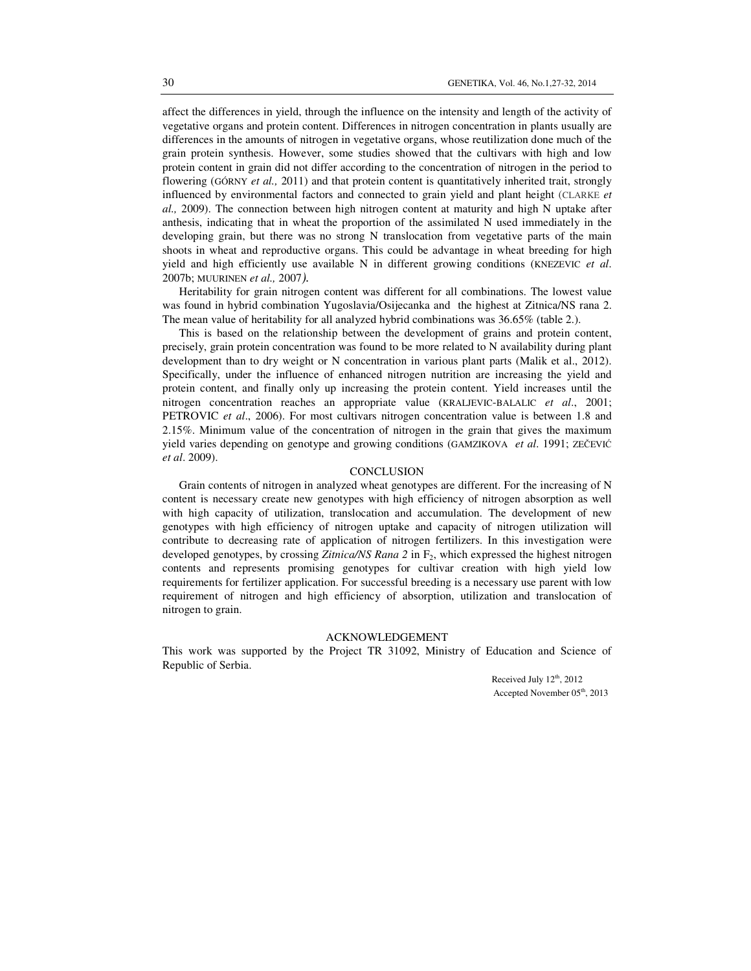affect the differences in yield, through the influence on the intensity and length of the activity of vegetative organs and protein content. Differences in nitrogen concentration in plants usually are differences in the amounts of nitrogen in vegetative organs, whose reutilization done much of the grain protein synthesis. However, some studies showed that the cultivars with high and low protein content in grain did not differ according to the concentration of nitrogen in the period to flowering (GÓRNY *et al.,* 2011) and that protein content is quantitatively inherited trait, strongly influenced by environmental factors and connected to grain yield and plant height (CLARKE *et al.,* 2009). The connection between high nitrogen content at maturity and high N uptake after anthesis, indicating that in wheat the proportion of the assimilated N used immediately in the developing grain, but there was no strong N translocation from vegetative parts of the main shoots in wheat and reproductive organs. This could be advantage in wheat breeding for high yield and high efficiently use available N in different growing conditions (KNEZEVIC *et al*. 2007b; MUURINEN *et al.,* 2007*).* 

Heritability for grain nitrogen content was different for all combinations. The lowest value was found in hybrid combination Yugoslavia/Osijecanka and the highest at Zitnica/NS rana 2. The mean value of heritability for all analyzed hybrid combinations was 36.65% (table 2.).

This is based on the relationship between the development of grains and protein content, precisely, grain protein concentration was found to be more related to N availability during plant development than to dry weight or N concentration in various plant parts (Malik et al., 2012). Specifically, under the influence of enhanced nitrogen nutrition are increasing the yield and protein content, and finally only up increasing the protein content. Yield increases until the nitrogen concentration reaches an appropriate value (KRALJEVIC-BALALIC *et al*., 2001; PETROVIC *et al*., 2006). For most cultivars nitrogen concentration value is between 1.8 and 2.15%. Minimum value of the concentration of nitrogen in the grain that gives the maximum yield varies depending on genotype and growing conditions (GAMZIKOVA *et al*. 1991; ZEČEVIĆ *et al*. 2009).

#### **CONCLUSION**

Grain contents of nitrogen in analyzed wheat genotypes are different. For the increasing of N content is necessary create new genotypes with high efficiency of nitrogen absorption as well with high capacity of utilization, translocation and accumulation. The development of new genotypes with high efficiency of nitrogen uptake and capacity of nitrogen utilization will contribute to decreasing rate of application of nitrogen fertilizers. In this investigation were developed genotypes, by crossing *Zitnica/NS Rana* 2 in F<sub>2</sub>, which expressed the highest nitrogen contents and represents promising genotypes for cultivar creation with high yield low requirements for fertilizer application. For successful breeding is a necessary use parent with low requirement of nitrogen and high efficiency of absorption, utilization and translocation of nitrogen to grain.

### ACKNOWLEDGEMENT

This work was supported by the Project TR 31092, Ministry of Education and Science of Republic of Serbia.

> Received July 12<sup>th</sup>, 2012 Accepted November 05<sup>th</sup>, 2013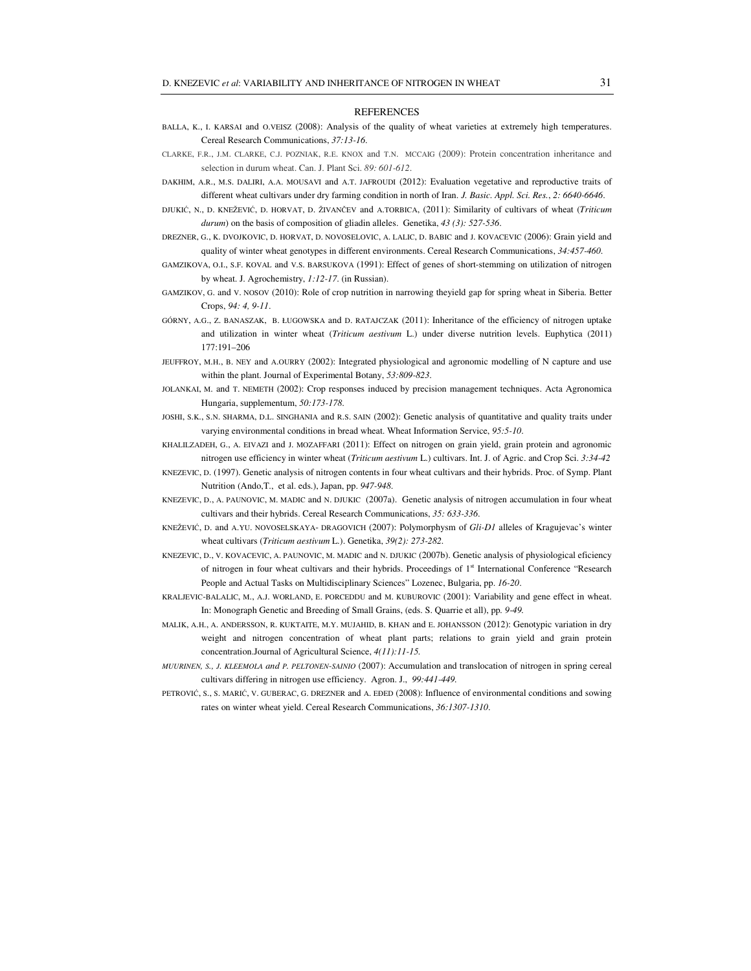#### **REFERENCES**

- BALLA, K., I. KARSAI and O.VEISZ (2008): Analysis of the quality of wheat varieties at extremely high temperatures. Cereal Research Communications, *37:13-16*.
- CLARKE, F.R., J.M. CLARKE, C.J. POZNIAK, R.E. KNOX and T.N. MCCAIG (2009): Protein concentration inheritance and selection in durum wheat. Can. J. Plant Sci. *89: 601-612*.
- DAKHIM, A.R., M.S. DALIRI, A.A. MOUSAVI and A.T. JAFROUDI (2012): Evaluation vegetative and reproductive traits of different wheat cultivars under dry farming condition in north of Iran. *J. Basic. Appl. Sci. Res.*, *2: 6640-6646*.
- DJUKIĆ, N., D. KNEŽEVIĆ, D. HORVAT, D. ŽIVANČEV and A.TORBICA, (2011): Similarity of cultivars of wheat (*Triticum durum*) on the basis of composition of gliadin alleles. Genetika, *43 (3): 527-536*.
- DREZNER, G., K. DVOJKOVIC, D. HORVAT, D. NOVOSELOVIC, A. LALIC, D. BABIC and J. KOVACEVIC (2006): Grain yield and quality of winter wheat genotypes in different environments. Cereal Research Communications, *34:457-460*.
- GAMZIKOVA, O.I., S.F. KOVAL and V.S. BARSUKOVA (1991): Effect of genes of short-stemming on utilization of nitrogen by wheat. J. Agrochemistry, *1:12-17*. (in Russian).
- GAMZIKOV, G. and V. NOSOV (2010): Role of crop nutrition in narrowing theyield gap for spring wheat in Siberia. Better Crops, *94: 4, 9-11*.
- GÓRNY, A.G., Z. BANASZAK, B. ŁUGOWSKA and D. RATAJCZAK (2011): Inheritance of the efficiency of nitrogen uptake and utilization in winter wheat (*Triticum aestivum* L.) under diverse nutrition levels. Euphytica (2011) 177:191–206
- JEUFFROY, M.H., B. NEY and A.OURRY (2002): Integrated physiological and agronomic modelling of N capture and use within the plant. Journal of Experimental Botany, *53:809-823*.
- JOLANKAI, M. and T. NEMETH (2002): Crop responses induced by precision management techniques. Acta Agronomica Hungaria, supplementum, *50:173-178*.
- JOSHI, S.K., S.N. SHARMA, D.L. SINGHANIA and R.S. SAIN (2002): Genetic analysis of quantitative and quality traits under varying environmental conditions in bread wheat. Wheat Information Service, *95:5-10*.
- KHALILZADEH, G., A. EIVAZI and J. MOZAFFARI (2011): Effect on nitrogen on grain yield, grain protein and agronomic nitrogen use efficiency in winter wheat (*Triticum aestivum* L.) cultivars. Int. J. of Agric. and Crop Sci. *3:34-42*
- KNEZEVIC, D. (1997). Genetic analysis of nitrogen contents in four wheat cultivars and their hybrids. Proc. of Symp. Plant Nutrition (Ando,T., et al. eds.), Japan, pp. *947-948*.
- KNEZEVIC, D., A. PAUNOVIC, M. MADIC and N. DJUKIC (2007a). Genetic analysis of nitrogen accumulation in four wheat cultivars and their hybrids. Cereal Research Communications, *35: 633-336*.
- KNEŽEVIĆ, D. and A.YU. NOVOSELSKAYA- DRAGOVICH (2007): Polymorphysm of *Gli-D1* alleles of Kragujevac's winter wheat cultivars (*Triticum aestivum* L.). Genetika, *39(2): 273-282.*
- KNEZEVIC, D., V. KOVACEVIC, A. PAUNOVIC, M. MADIC and N. DJUKIC (2007b). Genetic analysis of physiological eficiency of nitrogen in four wheat cultivars and their hybrids. Proceedings of 1st International Conference "Research People and Actual Tasks on Multidisciplinary Sciences" Lozenec, Bulgaria, pp. *16-20*.
- KRALJEVIC-BALALIC, M., A.J. WORLAND, E. PORCEDDU and M. KUBUROVIC (2001): Variability and gene effect in wheat. In: Monograph Genetic and Breeding of Small Grains, (eds. S. Quarrie et all), pp*. 9-49.*
- MALIK, A.H., A. ANDERSSON, R. KUKTAITE, M.Y. MUJAHID, B. KHAN and E. JOHANSSON (2012): Genotypic variation in dry weight and nitrogen concentration of wheat plant parts; relations to grain yield and grain protein concentration.Journal of Agricultural Science, *4(11):11-15.*
- *MUURINEN, S., J. KLEEMOLA and P. PELTONEN-SAINIO* (2007): Accumulation and translocation of nitrogen in spring cereal cultivars differing in nitrogen use efficiency. Agron. J., *99:441-449.*
- PETROVIĆ, S., S. MARIĆ, V. GUBERAC, G. DREZNER and A. EĐED (2008): Influence of environmental conditions and sowing rates on winter wheat yield. Cereal Research Communications, *36:1307-1310*.